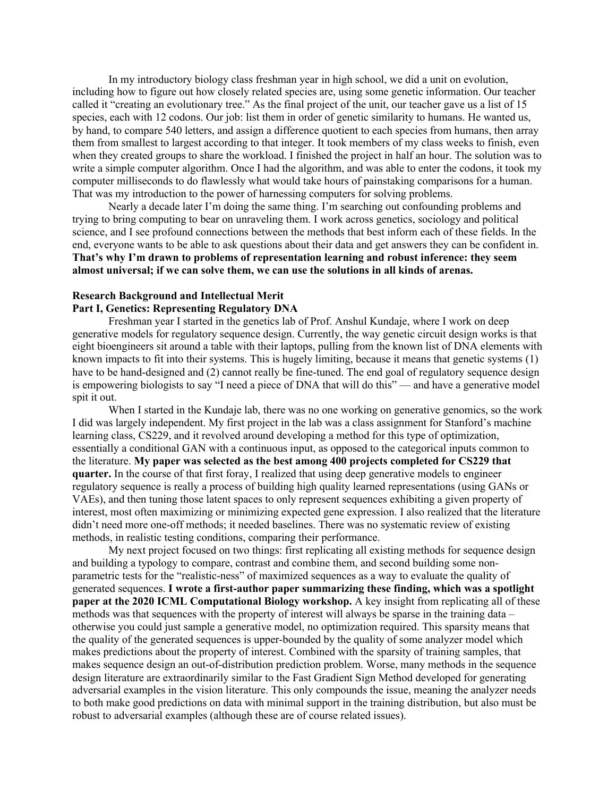In my introductory biology class freshman year in high school, we did a unit on evolution, including how to figure out how closely related species are, using some genetic information. Our teacher called it "creating an evolutionary tree." As the final project of the unit, our teacher gave us a list of 15 species, each with 12 codons. Our job: list them in order of genetic similarity to humans. He wanted us, by hand, to compare 540 letters, and assign a difference quotient to each species from humans, then array them from smallest to largest according to that integer. It took members of my class weeks to finish, even when they created groups to share the workload. I finished the project in half an hour. The solution was to write a simple computer algorithm. Once I had the algorithm, and was able to enter the codons, it took my computer milliseconds to do flawlessly what would take hours of painstaking comparisons for a human. That was my introduction to the power of harnessing computers for solving problems.

Nearly a decade later I'm doing the same thing. I'm searching out confounding problems and trying to bring computing to bear on unraveling them. I work across genetics, sociology and political science, and I see profound connections between the methods that best inform each of these fields. In the end, everyone wants to be able to ask questions about their data and get answers they can be confident in. **That's why I'm drawn to problems of representation learning and robust inference: they seem almost universal; if we can solve them, we can use the solutions in all kinds of arenas.**

# **Research Background and Intellectual Merit Part I, Genetics: Representing Regulatory DNA**

Freshman year I started in the genetics lab of Prof. Anshul Kundaje, where I work on deep generative models for regulatory sequence design. Currently, the way genetic circuit design works is that eight bioengineers sit around a table with their laptops, pulling from the known list of DNA elements with known impacts to fit into their systems. This is hugely limiting, because it means that genetic systems (1) have to be hand-designed and (2) cannot really be fine-tuned. The end goal of regulatory sequence design is empowering biologists to say "I need a piece of DNA that will do this" — and have a generative model spit it out.

When I started in the Kundaje lab, there was no one working on generative genomics, so the work I did was largely independent. My first project in the lab was a class assignment for Stanford's machine learning class, CS229, and it revolved around developing a method for this type of optimization, essentially a conditional GAN with a continuous input, as opposed to the categorical inputs common to the literature. **My paper was selected as the best among 400 projects completed for CS229 that quarter.** In the course of that first foray, I realized that using deep generative models to engineer regulatory sequence is really a process of building high quality learned representations (using GANs or VAEs), and then tuning those latent spaces to only represent sequences exhibiting a given property of interest, most often maximizing or minimizing expected gene expression. I also realized that the literature didn't need more one-off methods; it needed baselines. There was no systematic review of existing methods, in realistic testing conditions, comparing their performance.

My next project focused on two things: first replicating all existing methods for sequence design and building a typology to compare, contrast and combine them, and second building some nonparametric tests for the "realistic-ness" of maximized sequences as a way to evaluate the quality of generated sequences. **I wrote a first-author paper summarizing these finding, which was a spotlight paper at the 2020 ICML Computational Biology workshop.** A key insight from replicating all of these methods was that sequences with the property of interest will always be sparse in the training data – otherwise you could just sample a generative model, no optimization required. This sparsity means that the quality of the generated sequences is upper-bounded by the quality of some analyzer model which makes predictions about the property of interest. Combined with the sparsity of training samples, that makes sequence design an out-of-distribution prediction problem. Worse, many methods in the sequence design literature are extraordinarily similar to the Fast Gradient Sign Method developed for generating adversarial examples in the vision literature. This only compounds the issue, meaning the analyzer needs to both make good predictions on data with minimal support in the training distribution, but also must be robust to adversarial examples (although these are of course related issues).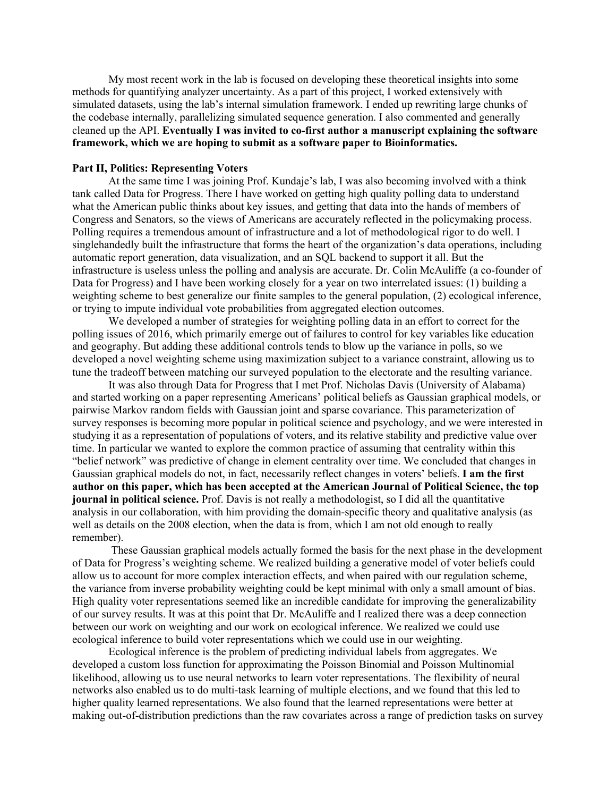My most recent work in the lab is focused on developing these theoretical insights into some methods for quantifying analyzer uncertainty. As a part of this project, I worked extensively with simulated datasets, using the lab's internal simulation framework. I ended up rewriting large chunks of the codebase internally, parallelizing simulated sequence generation. I also commented and generally cleaned up the API. **Eventually I was invited to co-first author a manuscript explaining the software framework, which we are hoping to submit as a software paper to Bioinformatics.**

## **Part II, Politics: Representing Voters**

At the same time I was joining Prof. Kundaje's lab, I was also becoming involved with a think tank called Data for Progress. There I have worked on getting high quality polling data to understand what the American public thinks about key issues, and getting that data into the hands of members of Congress and Senators, so the views of Americans are accurately reflected in the policymaking process. Polling requires a tremendous amount of infrastructure and a lot of methodological rigor to do well. I singlehandedly built the infrastructure that forms the heart of the organization's data operations, including automatic report generation, data visualization, and an SQL backend to support it all. But the infrastructure is useless unless the polling and analysis are accurate. Dr. Colin McAuliffe (a co-founder of Data for Progress) and I have been working closely for a year on two interrelated issues: (1) building a weighting scheme to best generalize our finite samples to the general population, (2) ecological inference, or trying to impute individual vote probabilities from aggregated election outcomes.

We developed a number of strategies for weighting polling data in an effort to correct for the polling issues of 2016, which primarily emerge out of failures to control for key variables like education and geography. But adding these additional controls tends to blow up the variance in polls, so we developed a novel weighting scheme using maximization subject to a variance constraint, allowing us to tune the tradeoff between matching our surveyed population to the electorate and the resulting variance.

It was also through Data for Progress that I met Prof. Nicholas Davis (University of Alabama) and started working on a paper representing Americans' political beliefs as Gaussian graphical models, or pairwise Markov random fields with Gaussian joint and sparse covariance. This parameterization of survey responses is becoming more popular in political science and psychology, and we were interested in studying it as a representation of populations of voters, and its relative stability and predictive value over time. In particular we wanted to explore the common practice of assuming that centrality within this "belief network" was predictive of change in element centrality over time. We concluded that changes in Gaussian graphical models do not, in fact, necessarily reflect changes in voters' beliefs. **I am the first author on this paper, which has been accepted at the American Journal of Political Science, the top journal in political science.** Prof. Davis is not really a methodologist, so I did all the quantitative analysis in our collaboration, with him providing the domain-specific theory and qualitative analysis (as well as details on the 2008 election, when the data is from, which I am not old enough to really remember).

These Gaussian graphical models actually formed the basis for the next phase in the development of Data for Progress's weighting scheme. We realized building a generative model of voter beliefs could allow us to account for more complex interaction effects, and when paired with our regulation scheme, the variance from inverse probability weighting could be kept minimal with only a small amount of bias. High quality voter representations seemed like an incredible candidate for improving the generalizability of our survey results. It was at this point that Dr. McAuliffe and I realized there was a deep connection between our work on weighting and our work on ecological inference. We realized we could use ecological inference to build voter representations which we could use in our weighting.

Ecological inference is the problem of predicting individual labels from aggregates. We developed a custom loss function for approximating the Poisson Binomial and Poisson Multinomial likelihood, allowing us to use neural networks to learn voter representations. The flexibility of neural networks also enabled us to do multi-task learning of multiple elections, and we found that this led to higher quality learned representations. We also found that the learned representations were better at making out-of-distribution predictions than the raw covariates across a range of prediction tasks on survey